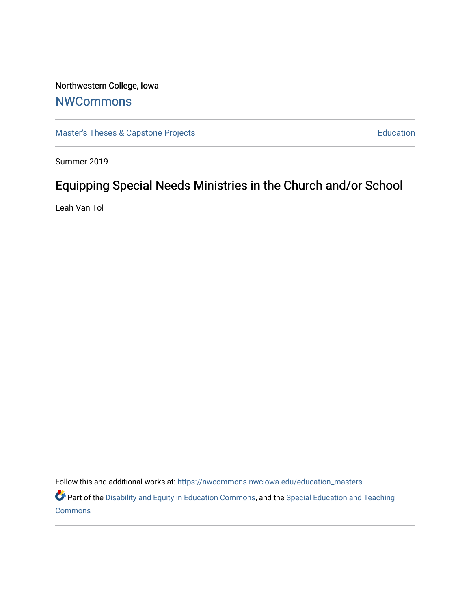# Northwestern College, Iowa

## **[NWCommons](https://nwcommons.nwciowa.edu/)**

[Master's Theses & Capstone Projects](https://nwcommons.nwciowa.edu/education_masters) **Education** Education

Summer 2019

# Equipping Special Needs Ministries in the Church and/or School

Leah Van Tol

Follow this and additional works at: [https://nwcommons.nwciowa.edu/education\\_masters](https://nwcommons.nwciowa.edu/education_masters?utm_source=nwcommons.nwciowa.edu%2Feducation_masters%2F142&utm_medium=PDF&utm_campaign=PDFCoverPages)

Part of the [Disability and Equity in Education Commons](http://network.bepress.com/hgg/discipline/1040?utm_source=nwcommons.nwciowa.edu%2Feducation_masters%2F142&utm_medium=PDF&utm_campaign=PDFCoverPages), and the Special Education and Teaching **[Commons](http://network.bepress.com/hgg/discipline/801?utm_source=nwcommons.nwciowa.edu%2Feducation_masters%2F142&utm_medium=PDF&utm_campaign=PDFCoverPages)**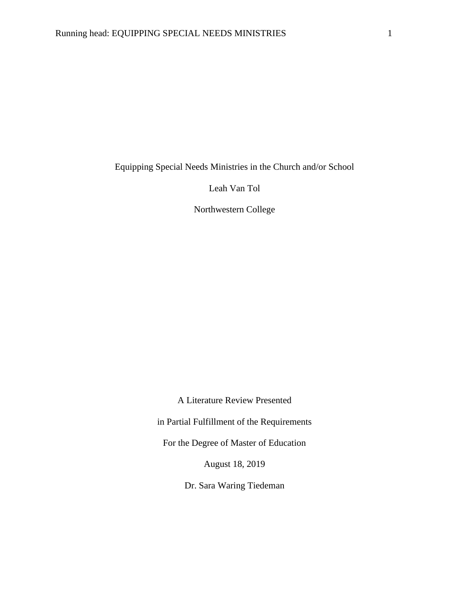Equipping Special Needs Ministries in the Church and/or School

Leah Van Tol

Northwestern College

A Literature Review Presented

in Partial Fulfillment of the Requirements

For the Degree of Master of Education

August 18, 2019

Dr. Sara Waring Tiedeman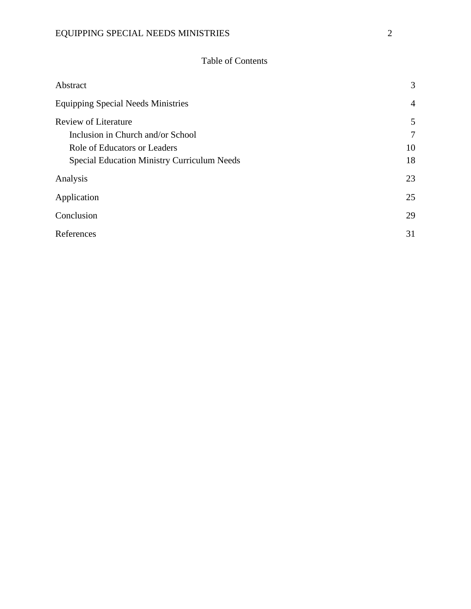### EQUIPPING SPECIAL NEEDS MINISTRIES 2

### Table of Contents

| Abstract                                           | 3              |
|----------------------------------------------------|----------------|
| <b>Equipping Special Needs Ministries</b>          | $\overline{4}$ |
| <b>Review of Literature</b>                        | 5              |
| Inclusion in Church and/or School                  | 7              |
| Role of Educators or Leaders                       | 10             |
| <b>Special Education Ministry Curriculum Needs</b> | 18             |
| Analysis                                           | 23             |
| Application                                        | 25             |
| Conclusion                                         | 29             |
| References                                         | 31             |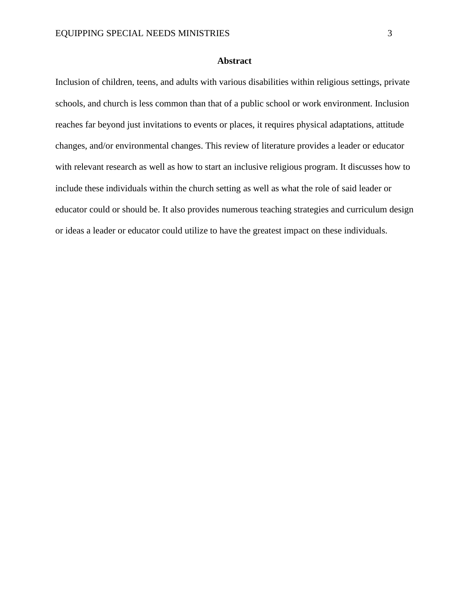#### **Abstract**

<span id="page-3-0"></span>Inclusion of children, teens, and adults with various disabilities within religious settings, private schools, and church is less common than that of a public school or work environment. Inclusion reaches far beyond just invitations to events or places, it requires physical adaptations, attitude changes, and/or environmental changes. This review of literature provides a leader or educator with relevant research as well as how to start an inclusive religious program. It discusses how to include these individuals within the church setting as well as what the role of said leader or educator could or should be. It also provides numerous teaching strategies and curriculum design or ideas a leader or educator could utilize to have the greatest impact on these individuals.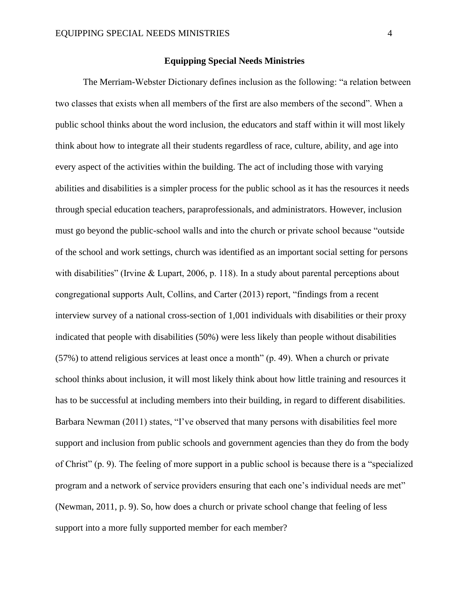#### **Equipping Special Needs Ministries**

<span id="page-4-0"></span>The Merriam-Webster Dictionary defines inclusion as the following: "a relation between two classes that exists when all members of the first are also members of the second". When a public school thinks about the word inclusion, the educators and staff within it will most likely think about how to integrate all their students regardless of race, culture, ability, and age into every aspect of the activities within the building. The act of including those with varying abilities and disabilities is a simpler process for the public school as it has the resources it needs through special education teachers, paraprofessionals, and administrators. However, inclusion must go beyond the public-school walls and into the church or private school because "outside of the school and work settings, church was identified as an important social setting for persons with disabilities" (Irvine & Lupart, 2006, p. 118). In a study about parental perceptions about congregational supports Ault, Collins, and Carter (2013) report, "findings from a recent interview survey of a national cross-section of 1,001 individuals with disabilities or their proxy indicated that people with disabilities (50%) were less likely than people without disabilities (57%) to attend religious services at least once a month" (p. 49). When a church or private school thinks about inclusion, it will most likely think about how little training and resources it has to be successful at including members into their building, in regard to different disabilities. Barbara Newman (2011) states, "I've observed that many persons with disabilities feel more support and inclusion from public schools and government agencies than they do from the body of Christ" (p. 9). The feeling of more support in a public school is because there is a "specialized program and a network of service providers ensuring that each one's individual needs are met" (Newman, 2011, p. 9). So, how does a church or private school change that feeling of less support into a more fully supported member for each member?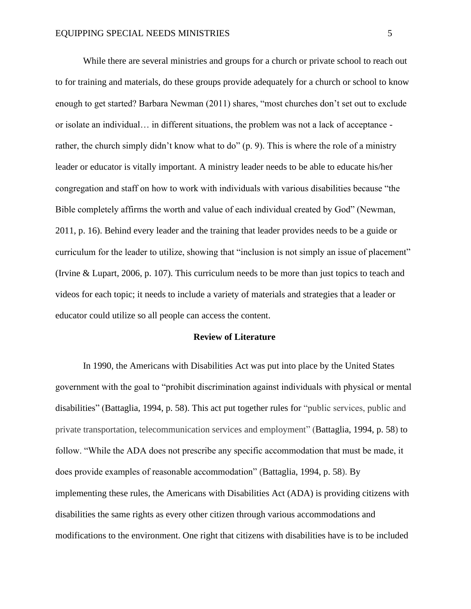While there are several ministries and groups for a church or private school to reach out to for training and materials, do these groups provide adequately for a church or school to know enough to get started? Barbara Newman (2011) shares, "most churches don't set out to exclude or isolate an individual… in different situations, the problem was not a lack of acceptance rather, the church simply didn't know what to do" (p. 9). This is where the role of a ministry leader or educator is vitally important. A ministry leader needs to be able to educate his/her congregation and staff on how to work with individuals with various disabilities because "the Bible completely affirms the worth and value of each individual created by God" (Newman, 2011, p. 16). Behind every leader and the training that leader provides needs to be a guide or curriculum for the leader to utilize, showing that "inclusion is not simply an issue of placement" (Irvine & Lupart, 2006, p. 107). This curriculum needs to be more than just topics to teach and videos for each topic; it needs to include a variety of materials and strategies that a leader or educator could utilize so all people can access the content.

#### **Review of Literature**

<span id="page-5-0"></span>In 1990, the Americans with Disabilities Act was put into place by the United States government with the goal to "prohibit discrimination against individuals with physical or mental disabilities" (Battaglia, 1994, p. 58). This act put together rules for "public services, public and private transportation, telecommunication services and employment" (Battaglia, 1994, p. 58) to follow. "While the ADA does not prescribe any specific accommodation that must be made, it does provide examples of reasonable accommodation" (Battaglia, 1994, p. 58). By implementing these rules, the Americans with Disabilities Act (ADA) is providing citizens with disabilities the same rights as every other citizen through various accommodations and modifications to the environment. One right that citizens with disabilities have is to be included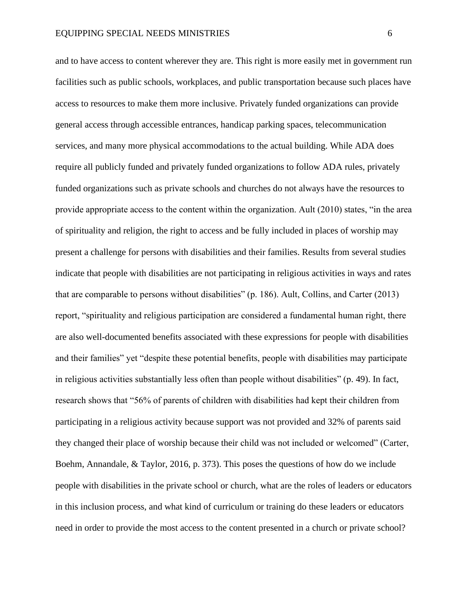and to have access to content wherever they are. This right is more easily met in government run facilities such as public schools, workplaces, and public transportation because such places have access to resources to make them more inclusive. Privately funded organizations can provide general access through accessible entrances, handicap parking spaces, telecommunication services, and many more physical accommodations to the actual building. While ADA does require all publicly funded and privately funded organizations to follow ADA rules, privately funded organizations such as private schools and churches do not always have the resources to provide appropriate access to the content within the organization. Ault (2010) states, "in the area of spirituality and religion, the right to access and be fully included in places of worship may present a challenge for persons with disabilities and their families. Results from several studies indicate that people with disabilities are not participating in religious activities in ways and rates that are comparable to persons without disabilities" (p. 186). Ault, Collins, and Carter (2013) report, "spirituality and religious participation are considered a fundamental human right, there are also well-documented benefits associated with these expressions for people with disabilities and their families" yet "despite these potential benefits, people with disabilities may participate in religious activities substantially less often than people without disabilities" (p. 49). In fact, research shows that "56% of parents of children with disabilities had kept their children from participating in a religious activity because support was not provided and 32% of parents said they changed their place of worship because their child was not included or welcomed" (Carter, Boehm, Annandale, & Taylor, 2016, p. 373). This poses the questions of how do we include people with disabilities in the private school or church, what are the roles of leaders or educators in this inclusion process, and what kind of curriculum or training do these leaders or educators need in order to provide the most access to the content presented in a church or private school?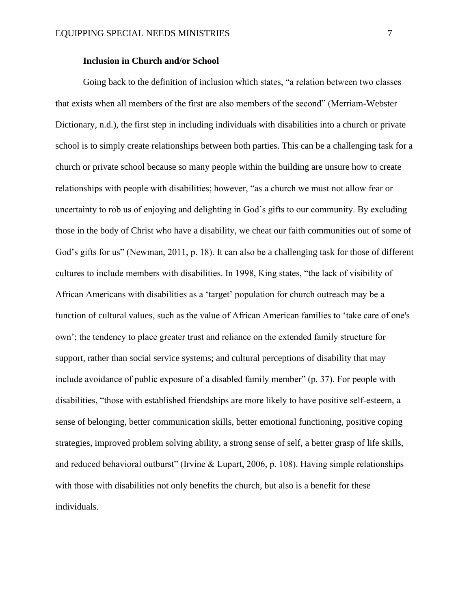#### **Inclusion in Church and/or School**

<span id="page-7-0"></span>Going back to the definition of inclusion which states, "a relation between two classes that exists when all members of the first are also members of the second" (Merriam-Webster Dictionary, n.d.), the first step in including individuals with disabilities into a church or private school is to simply create relationships between both parties. This can be a challenging task for a church or private school because so many people within the building are unsure how to create relationships with people with disabilities; however, "as a church we must not allow fear or uncertainty to rob us of enjoying and delighting in God's gifts to our community. By excluding those in the body of Christ who have a disability, we cheat our faith communities out of some of God's gifts for us" (Newman, 2011, p. 18). It can also be a challenging task for those of different cultures to include members with disabilities. In 1998, King states, "the lack of visibility of African Americans with disabilities as a 'target' population for church outreach may be a function of cultural values, such as the value of African American families to 'take care of one's own'; the tendency to place greater trust and reliance on the extended family structure for support, rather than social service systems; and cultural perceptions of disability that may include avoidance of public exposure of a disabled family member" (p. 37). For people with disabilities, "those with established friendships are more likely to have positive self‐esteem, a sense of belonging, better communication skills, better emotional functioning, positive coping strategies, improved problem solving ability, a strong sense of self, a better grasp of life skills, and reduced behavioral outburst" (Irvine & Lupart, 2006, p. 108). Having simple relationships with those with disabilities not only benefits the church, but also is a benefit for these individuals.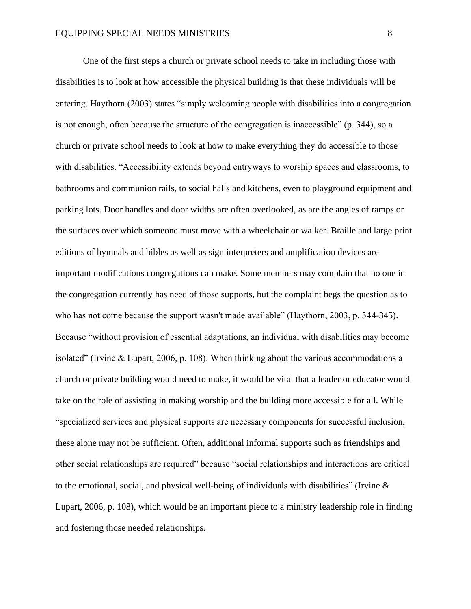One of the first steps a church or private school needs to take in including those with disabilities is to look at how accessible the physical building is that these individuals will be entering. Haythorn (2003) states "simply welcoming people with disabilities into a congregation is not enough, often because the structure of the congregation is inaccessible" (p. 344), so a church or private school needs to look at how to make everything they do accessible to those with disabilities. "Accessibility extends beyond entryways to worship spaces and classrooms, to bathrooms and communion rails, to social halls and kitchens, even to playground equipment and parking lots. Door handles and door widths are often overlooked, as are the angles of ramps or the surfaces over which someone must move with a wheelchair or walker. Braille and large print editions of hymnals and bibles as well as sign interpreters and amplification devices are important modifications congregations can make. Some members may complain that no one in the congregation currently has need of those supports, but the complaint begs the question as to who has not come because the support wasn't made available" (Haythorn, 2003, p. 344-345). Because "without provision of essential adaptations, an individual with disabilities may become isolated" (Irvine & Lupart, 2006, p. 108). When thinking about the various accommodations a church or private building would need to make, it would be vital that a leader or educator would take on the role of assisting in making worship and the building more accessible for all. While "specialized services and physical supports are necessary components for successful inclusion, these alone may not be sufficient. Often, additional informal supports such as friendships and other social relationships are required" because "social relationships and interactions are critical to the emotional, social, and physical well-being of individuals with disabilities" (Irvine & Lupart, 2006, p. 108), which would be an important piece to a ministry leadership role in finding and fostering those needed relationships.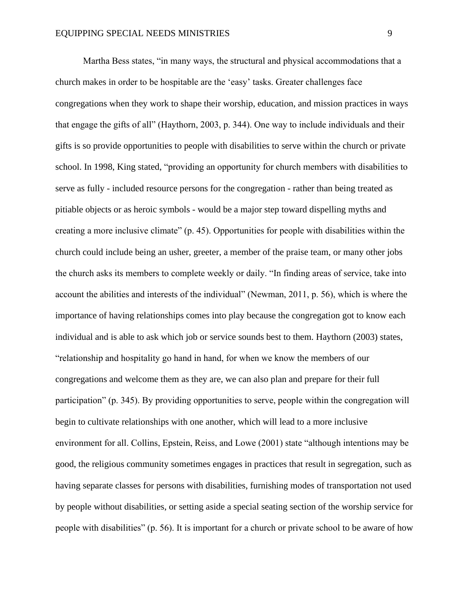Martha Bess states, "in many ways, the structural and physical accommodations that a church makes in order to be hospitable are the 'easy' tasks. Greater challenges face congregations when they work to shape their worship, education, and mission practices in ways that engage the gifts of all" (Haythorn, 2003, p. 344). One way to include individuals and their gifts is so provide opportunities to people with disabilities to serve within the church or private school. In 1998, King stated, "providing an opportunity for church members with disabilities to serve as fully - included resource persons for the congregation - rather than being treated as pitiable objects or as heroic symbols - would be a major step toward dispelling myths and creating a more inclusive climate" (p. 45). Opportunities for people with disabilities within the church could include being an usher, greeter, a member of the praise team, or many other jobs the church asks its members to complete weekly or daily. "In finding areas of service, take into account the abilities and interests of the individual" (Newman, 2011, p. 56), which is where the importance of having relationships comes into play because the congregation got to know each individual and is able to ask which job or service sounds best to them. Haythorn (2003) states, "relationship and hospitality go hand in hand, for when we know the members of our congregations and welcome them as they are, we can also plan and prepare for their full participation" (p. 345). By providing opportunities to serve, people within the congregation will begin to cultivate relationships with one another, which will lead to a more inclusive environment for all. Collins, Epstein, Reiss, and Lowe (2001) state "although intentions may be good, the religious community sometimes engages in practices that result in segregation, such as having separate classes for persons with disabilities, furnishing modes of transportation not used by people without disabilities, or setting aside a special seating section of the worship service for people with disabilities" (p. 56). It is important for a church or private school to be aware of how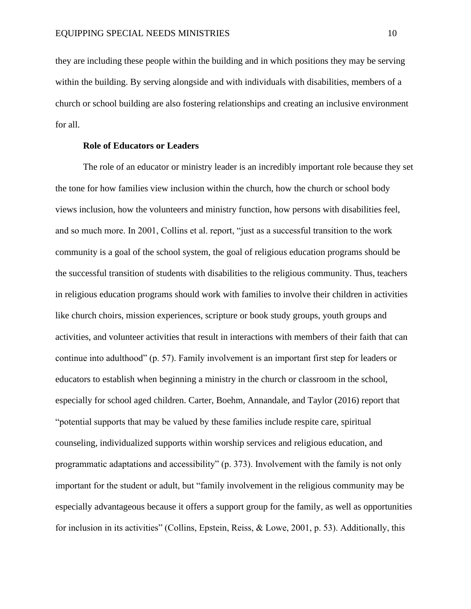they are including these people within the building and in which positions they may be serving within the building. By serving alongside and with individuals with disabilities, members of a church or school building are also fostering relationships and creating an inclusive environment for all.

#### **Role of Educators or Leaders**

<span id="page-10-0"></span>The role of an educator or ministry leader is an incredibly important role because they set the tone for how families view inclusion within the church, how the church or school body views inclusion, how the volunteers and ministry function, how persons with disabilities feel, and so much more. In 2001, Collins et al. report, "just as a successful transition to the work community is a goal of the school system, the goal of religious education programs should be the successful transition of students with disabilities to the religious community. Thus, teachers in religious education programs should work with families to involve their children in activities like church choirs, mission experiences, scripture or book study groups, youth groups and activities, and volunteer activities that result in interactions with members of their faith that can continue into adulthood" (p. 57). Family involvement is an important first step for leaders or educators to establish when beginning a ministry in the church or classroom in the school, especially for school aged children. Carter, Boehm, Annandale, and Taylor (2016) report that "potential supports that may be valued by these families include respite care, spiritual counseling, individualized supports within worship services and religious education, and programmatic adaptations and accessibility" (p. 373). Involvement with the family is not only important for the student or adult, but "family involvement in the religious community may be especially advantageous because it offers a support group for the family, as well as opportunities for inclusion in its activities" (Collins, Epstein, Reiss, & Lowe, 2001, p. 53). Additionally, this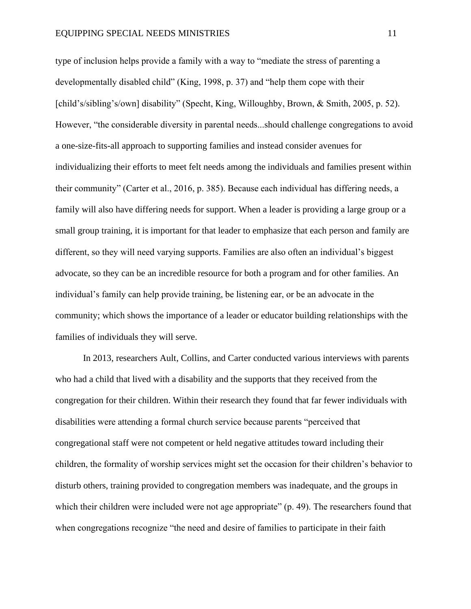type of inclusion helps provide a family with a way to "mediate the stress of parenting a developmentally disabled child" (King, 1998, p. 37) and "help them cope with their [child's/sibling's/own] disability" (Specht, King, Willoughby, Brown, & Smith, 2005, p. 52). However, "the considerable diversity in parental needs...should challenge congregations to avoid a one-size-fits-all approach to supporting families and instead consider avenues for individualizing their efforts to meet felt needs among the individuals and families present within their community" (Carter et al., 2016, p. 385). Because each individual has differing needs, a family will also have differing needs for support. When a leader is providing a large group or a small group training, it is important for that leader to emphasize that each person and family are different, so they will need varying supports. Families are also often an individual's biggest advocate, so they can be an incredible resource for both a program and for other families. An individual's family can help provide training, be listening ear, or be an advocate in the community; which shows the importance of a leader or educator building relationships with the families of individuals they will serve.

In 2013, researchers Ault, Collins, and Carter conducted various interviews with parents who had a child that lived with a disability and the supports that they received from the congregation for their children. Within their research they found that far fewer individuals with disabilities were attending a formal church service because parents "perceived that congregational staff were not competent or held negative attitudes toward including their children, the formality of worship services might set the occasion for their children's behavior to disturb others, training provided to congregation members was inadequate, and the groups in which their children were included were not age appropriate" (p. 49). The researchers found that when congregations recognize "the need and desire of families to participate in their faith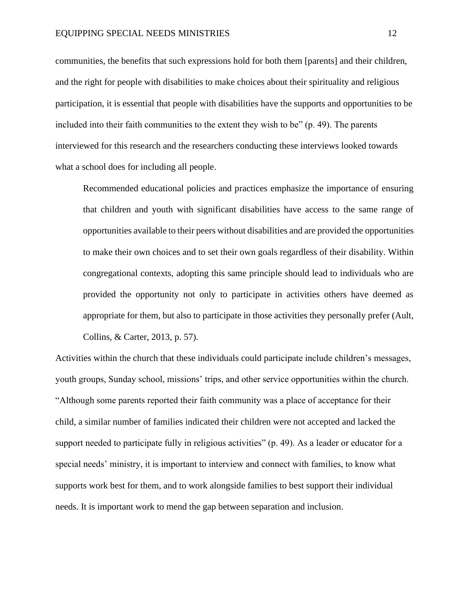communities, the benefits that such expressions hold for both them [parents] and their children, and the right for people with disabilities to make choices about their spirituality and religious participation, it is essential that people with disabilities have the supports and opportunities to be included into their faith communities to the extent they wish to be" (p. 49). The parents interviewed for this research and the researchers conducting these interviews looked towards what a school does for including all people.

Recommended educational policies and practices emphasize the importance of ensuring that children and youth with significant disabilities have access to the same range of opportunities available to their peers without disabilities and are provided the opportunities to make their own choices and to set their own goals regardless of their disability. Within congregational contexts, adopting this same principle should lead to individuals who are provided the opportunity not only to participate in activities others have deemed as appropriate for them, but also to participate in those activities they personally prefer (Ault, Collins, & Carter, 2013, p. 57).

Activities within the church that these individuals could participate include children's messages, youth groups, Sunday school, missions' trips, and other service opportunities within the church. "Although some parents reported their faith community was a place of acceptance for their child, a similar number of families indicated their children were not accepted and lacked the support needed to participate fully in religious activities" (p. 49). As a leader or educator for a special needs' ministry, it is important to interview and connect with families, to know what supports work best for them, and to work alongside families to best support their individual needs. It is important work to mend the gap between separation and inclusion.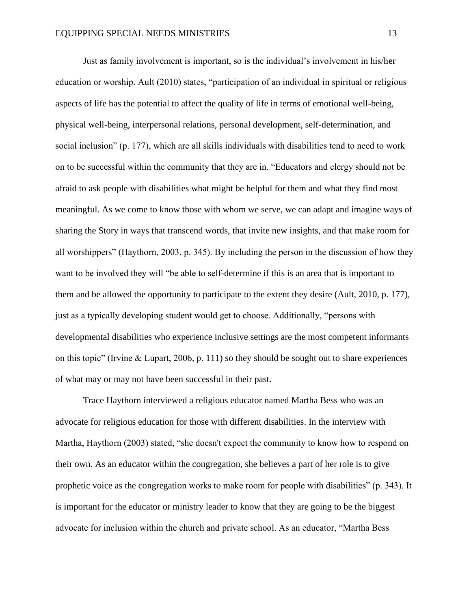Just as family involvement is important, so is the individual's involvement in his/her education or worship. Ault (2010) states, "participation of an individual in spiritual or religious aspects of life has the potential to affect the quality of life in terms of emotional well-being, physical well-being, interpersonal relations, personal development, self-determination, and social inclusion" (p. 177), which are all skills individuals with disabilities tend to need to work on to be successful within the community that they are in. "Educators and clergy should not be afraid to ask people with disabilities what might be helpful for them and what they find most meaningful. As we come to know those with whom we serve, we can adapt and imagine ways of sharing the Story in ways that transcend words, that invite new insights, and that make room for all worshippers" (Haythorn, 2003, p. 345). By including the person in the discussion of how they want to be involved they will "be able to self-determine if this is an area that is important to them and be allowed the opportunity to participate to the extent they desire (Ault, 2010, p. 177), just as a typically developing student would get to choose. Additionally, "persons with developmental disabilities who experience inclusive settings are the most competent informants on this topic" (Irvine & Lupart, 2006, p. 111) so they should be sought out to share experiences of what may or may not have been successful in their past.

Trace Haythorn interviewed a religious educator named Martha Bess who was an advocate for religious education for those with different disabilities. In the interview with Martha, Haythorn (2003) stated, "she doesn't expect the community to know how to respond on their own. As an educator within the congregation, she believes a part of her role is to give prophetic voice as the congregation works to make room for people with disabilities" (p. 343). It is important for the educator or ministry leader to know that they are going to be the biggest advocate for inclusion within the church and private school. As an educator, "Martha Bess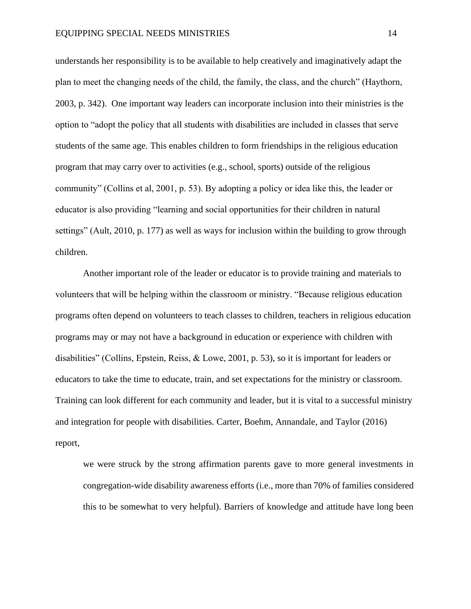understands her responsibility is to be available to help creatively and imaginatively adapt the plan to meet the changing needs of the child, the family, the class, and the church" (Haythorn, 2003, p. 342). One important way leaders can incorporate inclusion into their ministries is the option to "adopt the policy that all students with disabilities are included in classes that serve students of the same age. This enables children to form friendships in the religious education program that may carry over to activities (e.g., school, sports) outside of the religious community" (Collins et al, 2001, p. 53). By adopting a policy or idea like this, the leader or educator is also providing "learning and social opportunities for their children in natural settings" (Ault, 2010, p. 177) as well as ways for inclusion within the building to grow through children.

Another important role of the leader or educator is to provide training and materials to volunteers that will be helping within the classroom or ministry. "Because religious education programs often depend on volunteers to teach classes to children, teachers in religious education programs may or may not have a background in education or experience with children with disabilities" (Collins, Epstein, Reiss, & Lowe, 2001, p. 53), so it is important for leaders or educators to take the time to educate, train, and set expectations for the ministry or classroom. Training can look different for each community and leader, but it is vital to a successful ministry and integration for people with disabilities. Carter, Boehm, Annandale, and Taylor (2016) report,

we were struck by the strong affirmation parents gave to more general investments in congregation-wide disability awareness efforts (i.e., more than 70% of families considered this to be somewhat to very helpful). Barriers of knowledge and attitude have long been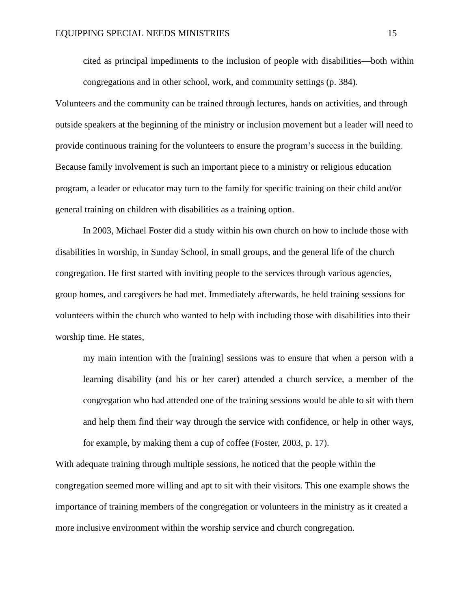cited as principal impediments to the inclusion of people with disabilities—both within congregations and in other school, work, and community settings (p. 384).

Volunteers and the community can be trained through lectures, hands on activities, and through outside speakers at the beginning of the ministry or inclusion movement but a leader will need to provide continuous training for the volunteers to ensure the program's success in the building. Because family involvement is such an important piece to a ministry or religious education program, a leader or educator may turn to the family for specific training on their child and/or general training on children with disabilities as a training option.

In 2003, Michael Foster did a study within his own church on how to include those with disabilities in worship, in Sunday School, in small groups, and the general life of the church congregation. He first started with inviting people to the services through various agencies, group homes, and caregivers he had met. Immediately afterwards, he held training sessions for volunteers within the church who wanted to help with including those with disabilities into their worship time. He states,

my main intention with the [training] sessions was to ensure that when a person with a learning disability (and his or her carer) attended a church service, a member of the congregation who had attended one of the training sessions would be able to sit with them and help them find their way through the service with confidence, or help in other ways, for example, by making them a cup of coffee (Foster, 2003, p. 17).

With adequate training through multiple sessions, he noticed that the people within the congregation seemed more willing and apt to sit with their visitors. This one example shows the importance of training members of the congregation or volunteers in the ministry as it created a more inclusive environment within the worship service and church congregation.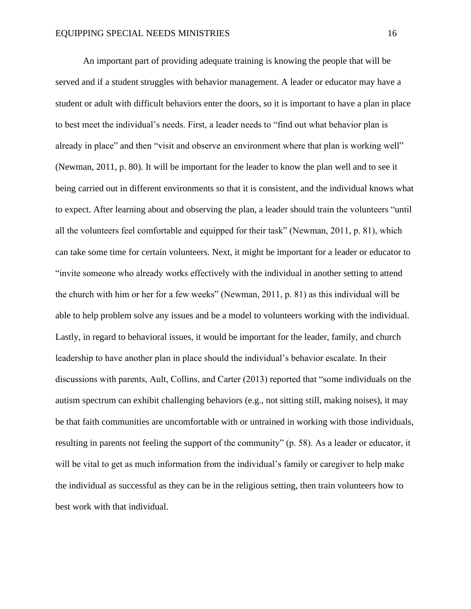An important part of providing adequate training is knowing the people that will be served and if a student struggles with behavior management. A leader or educator may have a student or adult with difficult behaviors enter the doors, so it is important to have a plan in place to best meet the individual's needs. First, a leader needs to "find out what behavior plan is already in place" and then "visit and observe an environment where that plan is working well" (Newman, 2011, p. 80). It will be important for the leader to know the plan well and to see it being carried out in different environments so that it is consistent, and the individual knows what to expect. After learning about and observing the plan, a leader should train the volunteers "until all the volunteers feel comfortable and equipped for their task" (Newman, 2011, p. 81), which can take some time for certain volunteers. Next, it might be important for a leader or educator to "invite someone who already works effectively with the individual in another setting to attend the church with him or her for a few weeks" (Newman, 2011, p. 81) as this individual will be able to help problem solve any issues and be a model to volunteers working with the individual. Lastly, in regard to behavioral issues, it would be important for the leader, family, and church leadership to have another plan in place should the individual's behavior escalate. In their discussions with parents, Ault, Collins, and Carter (2013) reported that "some individuals on the autism spectrum can exhibit challenging behaviors (e.g., not sitting still, making noises), it may be that faith communities are uncomfortable with or untrained in working with those individuals, resulting in parents not feeling the support of the community" (p. 58). As a leader or educator, it will be vital to get as much information from the individual's family or caregiver to help make the individual as successful as they can be in the religious setting, then train volunteers how to best work with that individual.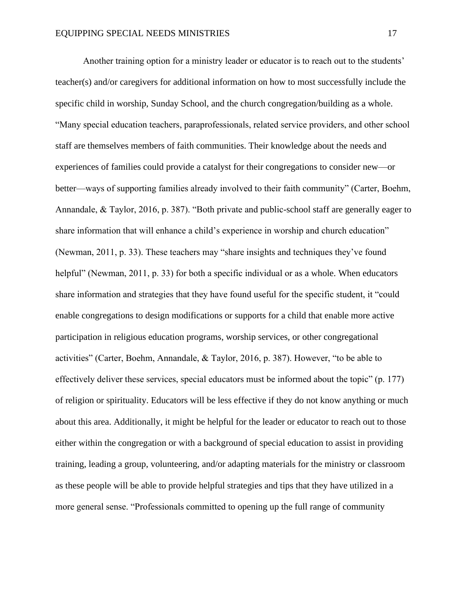Another training option for a ministry leader or educator is to reach out to the students' teacher(s) and/or caregivers for additional information on how to most successfully include the specific child in worship, Sunday School, and the church congregation/building as a whole. "Many special education teachers, paraprofessionals, related service providers, and other school staff are themselves members of faith communities. Their knowledge about the needs and experiences of families could provide a catalyst for their congregations to consider new—or better—ways of supporting families already involved to their faith community" (Carter, Boehm, Annandale, & Taylor, 2016, p. 387). "Both private and public-school staff are generally eager to share information that will enhance a child's experience in worship and church education" (Newman, 2011, p. 33). These teachers may "share insights and techniques they've found helpful" (Newman, 2011, p. 33) for both a specific individual or as a whole. When educators share information and strategies that they have found useful for the specific student, it "could enable congregations to design modifications or supports for a child that enable more active participation in religious education programs, worship services, or other congregational activities" (Carter, Boehm, Annandale, & Taylor, 2016, p. 387). However, "to be able to effectively deliver these services, special educators must be informed about the topic" (p. 177) of religion or spirituality. Educators will be less effective if they do not know anything or much about this area. Additionally, it might be helpful for the leader or educator to reach out to those either within the congregation or with a background of special education to assist in providing training, leading a group, volunteering, and/or adapting materials for the ministry or classroom as these people will be able to provide helpful strategies and tips that they have utilized in a more general sense. "Professionals committed to opening up the full range of community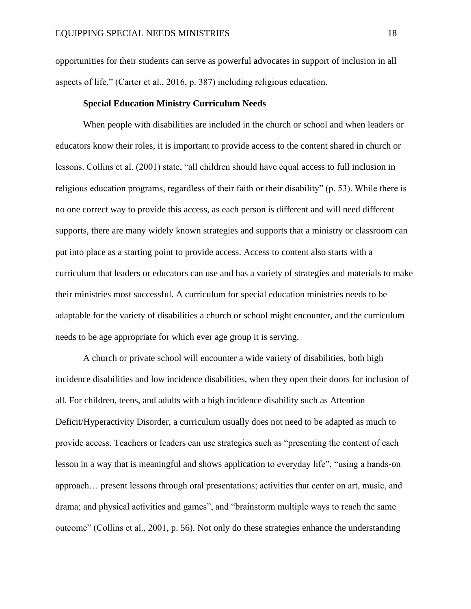opportunities for their students can serve as powerful advocates in support of inclusion in all aspects of life," (Carter et al., 2016, p. 387) including religious education.

#### **Special Education Ministry Curriculum Needs**

<span id="page-18-0"></span>When people with disabilities are included in the church or school and when leaders or educators know their roles, it is important to provide access to the content shared in church or lessons. Collins et al. (2001) state, "all children should have equal access to full inclusion in religious education programs, regardless of their faith or their disability" (p. 53). While there is no one correct way to provide this access, as each person is different and will need different supports, there are many widely known strategies and supports that a ministry or classroom can put into place as a starting point to provide access. Access to content also starts with a curriculum that leaders or educators can use and has a variety of strategies and materials to make their ministries most successful. A curriculum for special education ministries needs to be adaptable for the variety of disabilities a church or school might encounter, and the curriculum needs to be age appropriate for which ever age group it is serving.

A church or private school will encounter a wide variety of disabilities, both high incidence disabilities and low incidence disabilities, when they open their doors for inclusion of all. For children, teens, and adults with a high incidence disability such as Attention Deficit/Hyperactivity Disorder, a curriculum usually does not need to be adapted as much to provide access. Teachers or leaders can use strategies such as "presenting the content of each lesson in a way that is meaningful and shows application to everyday life", "using a hands-on approach… present lessons through oral presentations; activities that center on art, music, and drama; and physical activities and games", and "brainstorm multiple ways to reach the same outcome" (Collins et al., 2001, p. 56). Not only do these strategies enhance the understanding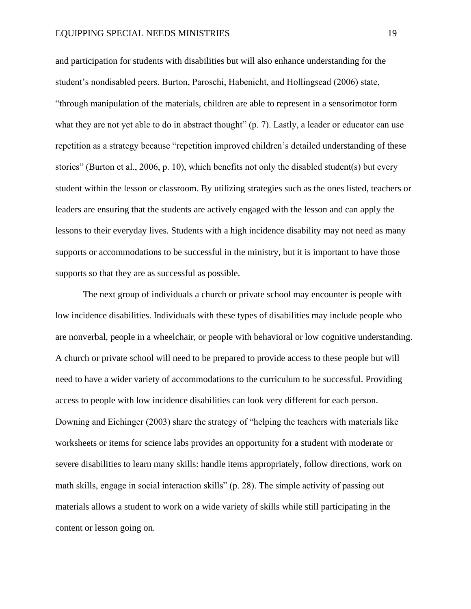and participation for students with disabilities but will also enhance understanding for the student's nondisabled peers. Burton, Paroschi, Habenicht, and Hollingsead (2006) state, "through manipulation of the materials, children are able to represent in a sensorimotor form what they are not yet able to do in abstract thought" (p. 7). Lastly, a leader or educator can use repetition as a strategy because "repetition improved children's detailed understanding of these stories" (Burton et al., 2006, p. 10), which benefits not only the disabled student(s) but every student within the lesson or classroom. By utilizing strategies such as the ones listed, teachers or leaders are ensuring that the students are actively engaged with the lesson and can apply the lessons to their everyday lives. Students with a high incidence disability may not need as many supports or accommodations to be successful in the ministry, but it is important to have those supports so that they are as successful as possible.

The next group of individuals a church or private school may encounter is people with low incidence disabilities. Individuals with these types of disabilities may include people who are nonverbal, people in a wheelchair, or people with behavioral or low cognitive understanding. A church or private school will need to be prepared to provide access to these people but will need to have a wider variety of accommodations to the curriculum to be successful. Providing access to people with low incidence disabilities can look very different for each person. Downing and Eichinger (2003) share the strategy of "helping the teachers with materials like worksheets or items for science labs provides an opportunity for a student with moderate or severe disabilities to learn many skills: handle items appropriately, follow directions, work on math skills, engage in social interaction skills" (p. 28). The simple activity of passing out materials allows a student to work on a wide variety of skills while still participating in the content or lesson going on.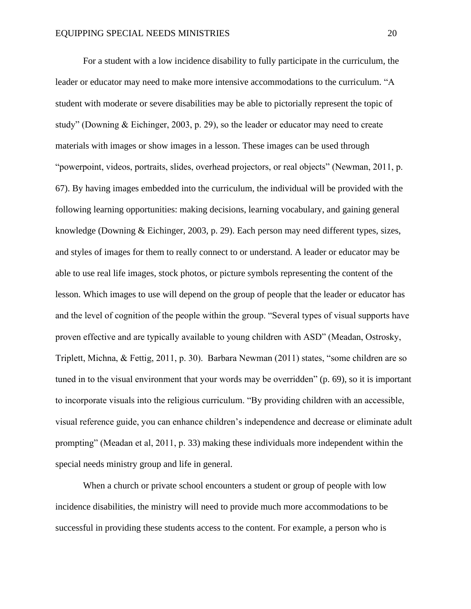For a student with a low incidence disability to fully participate in the curriculum, the leader or educator may need to make more intensive accommodations to the curriculum. "A student with moderate or severe disabilities may be able to pictorially represent the topic of study" (Downing & Eichinger, 2003, p. 29), so the leader or educator may need to create materials with images or show images in a lesson. These images can be used through "powerpoint, videos, portraits, slides, overhead projectors, or real objects" (Newman, 2011, p. 67). By having images embedded into the curriculum, the individual will be provided with the following learning opportunities: making decisions, learning vocabulary, and gaining general knowledge (Downing & Eichinger, 2003, p. 29). Each person may need different types, sizes, and styles of images for them to really connect to or understand. A leader or educator may be able to use real life images, stock photos, or picture symbols representing the content of the lesson. Which images to use will depend on the group of people that the leader or educator has and the level of cognition of the people within the group. "Several types of visual supports have proven effective and are typically available to young children with ASD" (Meadan, Ostrosky, Triplett, Michna, & Fettig, 2011, p. 30). Barbara Newman (2011) states, "some children are so tuned in to the visual environment that your words may be overridden" (p. 69), so it is important to incorporate visuals into the religious curriculum. "By providing children with an accessible, visual reference guide, you can enhance children's independence and decrease or eliminate adult prompting" (Meadan et al, 2011, p. 33) making these individuals more independent within the special needs ministry group and life in general.

When a church or private school encounters a student or group of people with low incidence disabilities, the ministry will need to provide much more accommodations to be successful in providing these students access to the content. For example, a person who is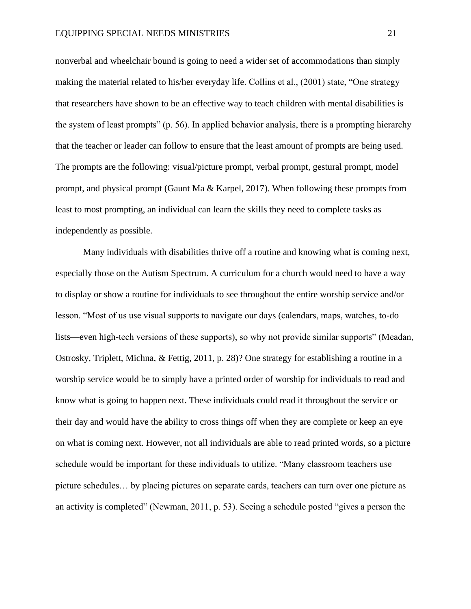nonverbal and wheelchair bound is going to need a wider set of accommodations than simply making the material related to his/her everyday life. Collins et al., (2001) state, "One strategy that researchers have shown to be an effective way to teach children with mental disabilities is the system of least prompts" (p. 56). In applied behavior analysis, there is a prompting hierarchy that the teacher or leader can follow to ensure that the least amount of prompts are being used. The prompts are the following: visual/picture prompt, verbal prompt, gestural prompt, model prompt, and physical prompt (Gaunt Ma & Karpel, 2017). When following these prompts from least to most prompting, an individual can learn the skills they need to complete tasks as independently as possible.

Many individuals with disabilities thrive off a routine and knowing what is coming next, especially those on the Autism Spectrum. A curriculum for a church would need to have a way to display or show a routine for individuals to see throughout the entire worship service and/or lesson. "Most of us use visual supports to navigate our days (calendars, maps, watches, to-do lists—even high-tech versions of these supports), so why not provide similar supports" (Meadan, Ostrosky, Triplett, Michna, & Fettig, 2011, p. 28)? One strategy for establishing a routine in a worship service would be to simply have a printed order of worship for individuals to read and know what is going to happen next. These individuals could read it throughout the service or their day and would have the ability to cross things off when they are complete or keep an eye on what is coming next. However, not all individuals are able to read printed words, so a picture schedule would be important for these individuals to utilize. "Many classroom teachers use picture schedules… by placing pictures on separate cards, teachers can turn over one picture as an activity is completed" (Newman, 2011, p. 53). Seeing a schedule posted "gives a person the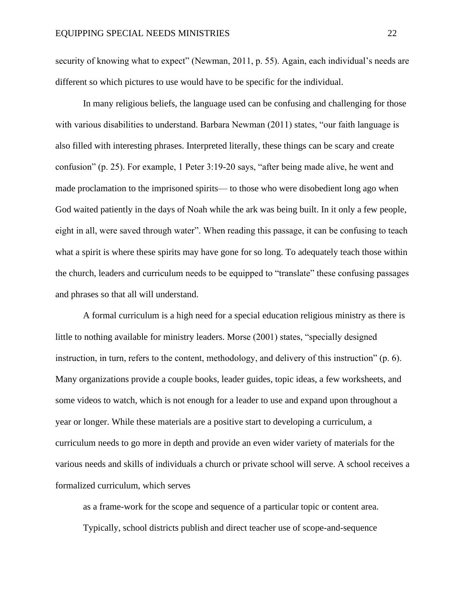security of knowing what to expect" (Newman, 2011, p. 55). Again, each individual's needs are different so which pictures to use would have to be specific for the individual.

In many religious beliefs, the language used can be confusing and challenging for those with various disabilities to understand. Barbara Newman (2011) states, "our faith language is also filled with interesting phrases. Interpreted literally, these things can be scary and create confusion" (p. 25). For example, 1 Peter 3:19-20 says, "after being made alive, he went and made proclamation to the imprisoned spirits— to those who were disobedient long ago when God waited patiently in the days of Noah while the ark was being built. In it only a few people, eight in all, were saved through water". When reading this passage, it can be confusing to teach what a spirit is where these spirits may have gone for so long. To adequately teach those within the church, leaders and curriculum needs to be equipped to "translate" these confusing passages and phrases so that all will understand.

A formal curriculum is a high need for a special education religious ministry as there is little to nothing available for ministry leaders. Morse (2001) states, "specially designed instruction, in turn, refers to the content, methodology, and delivery of this instruction" (p. 6). Many organizations provide a couple books, leader guides, topic ideas, a few worksheets, and some videos to watch, which is not enough for a leader to use and expand upon throughout a year or longer. While these materials are a positive start to developing a curriculum, a curriculum needs to go more in depth and provide an even wider variety of materials for the various needs and skills of individuals a church or private school will serve. A school receives a formalized curriculum, which serves

as a frame-work for the scope and sequence of a particular topic or content area. Typically, school districts publish and direct teacher use of scope-and-sequence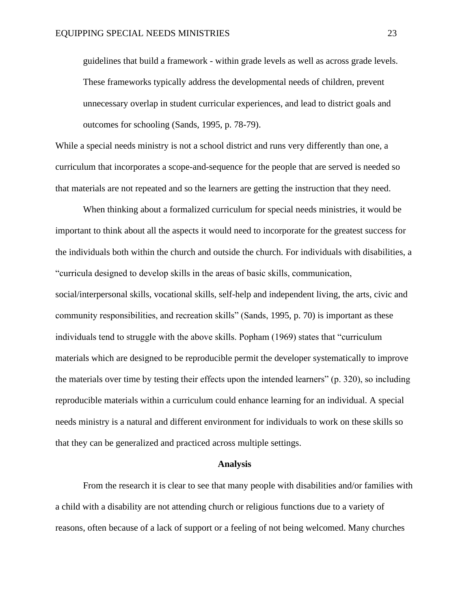guidelines that build a framework - within grade levels as well as across grade levels. These frameworks typically address the developmental needs of children, prevent unnecessary overlap in student curricular experiences, and lead to district goals and outcomes for schooling (Sands, 1995, p. 78-79).

While a special needs ministry is not a school district and runs very differently than one, a curriculum that incorporates a scope-and-sequence for the people that are served is needed so that materials are not repeated and so the learners are getting the instruction that they need.

When thinking about a formalized curriculum for special needs ministries, it would be important to think about all the aspects it would need to incorporate for the greatest success for the individuals both within the church and outside the church. For individuals with disabilities, a "curricula designed to develop skills in the areas of basic skills, communication, social/interpersonal skills, vocational skills, self-help and independent living, the arts, civic and community responsibilities, and recreation skills" (Sands, 1995, p. 70) is important as these individuals tend to struggle with the above skills. Popham (1969) states that "curriculum materials which are designed to be reproducible permit the developer systematically to improve the materials over time by testing their effects upon the intended learners" (p. 320), so including reproducible materials within a curriculum could enhance learning for an individual. A special needs ministry is a natural and different environment for individuals to work on these skills so that they can be generalized and practiced across multiple settings.

#### **Analysis**

<span id="page-23-0"></span>From the research it is clear to see that many people with disabilities and/or families with a child with a disability are not attending church or religious functions due to a variety of reasons, often because of a lack of support or a feeling of not being welcomed. Many churches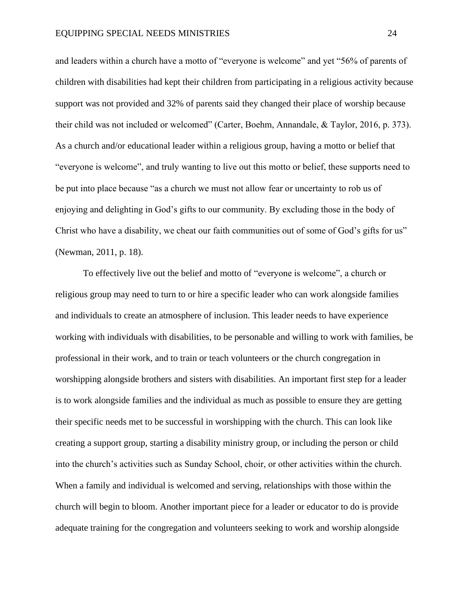and leaders within a church have a motto of "everyone is welcome" and yet "56% of parents of children with disabilities had kept their children from participating in a religious activity because support was not provided and 32% of parents said they changed their place of worship because their child was not included or welcomed" (Carter, Boehm, Annandale, & Taylor, 2016, p. 373). As a church and/or educational leader within a religious group, having a motto or belief that "everyone is welcome", and truly wanting to live out this motto or belief, these supports need to be put into place because "as a church we must not allow fear or uncertainty to rob us of enjoying and delighting in God's gifts to our community. By excluding those in the body of Christ who have a disability, we cheat our faith communities out of some of God's gifts for us" (Newman, 2011, p. 18).

To effectively live out the belief and motto of "everyone is welcome", a church or religious group may need to turn to or hire a specific leader who can work alongside families and individuals to create an atmosphere of inclusion. This leader needs to have experience working with individuals with disabilities, to be personable and willing to work with families, be professional in their work, and to train or teach volunteers or the church congregation in worshipping alongside brothers and sisters with disabilities. An important first step for a leader is to work alongside families and the individual as much as possible to ensure they are getting their specific needs met to be successful in worshipping with the church. This can look like creating a support group, starting a disability ministry group, or including the person or child into the church's activities such as Sunday School, choir, or other activities within the church. When a family and individual is welcomed and serving, relationships with those within the church will begin to bloom. Another important piece for a leader or educator to do is provide adequate training for the congregation and volunteers seeking to work and worship alongside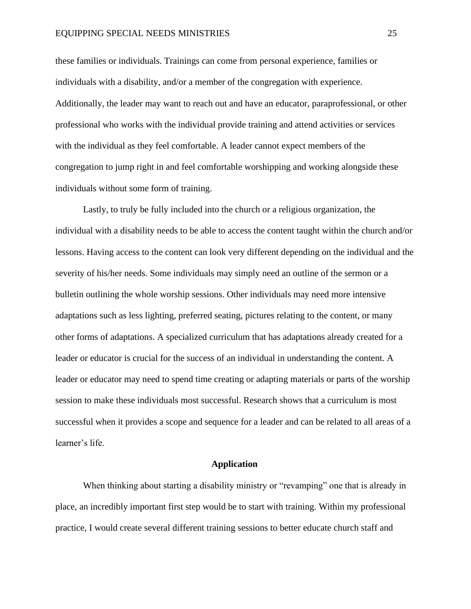#### EQUIPPING SPECIAL NEEDS MINISTRIES 25

these families or individuals. Trainings can come from personal experience, families or individuals with a disability, and/or a member of the congregation with experience. Additionally, the leader may want to reach out and have an educator, paraprofessional, or other professional who works with the individual provide training and attend activities or services with the individual as they feel comfortable. A leader cannot expect members of the congregation to jump right in and feel comfortable worshipping and working alongside these individuals without some form of training.

Lastly, to truly be fully included into the church or a religious organization, the individual with a disability needs to be able to access the content taught within the church and/or lessons. Having access to the content can look very different depending on the individual and the severity of his/her needs. Some individuals may simply need an outline of the sermon or a bulletin outlining the whole worship sessions. Other individuals may need more intensive adaptations such as less lighting, preferred seating, pictures relating to the content, or many other forms of adaptations. A specialized curriculum that has adaptations already created for a leader or educator is crucial for the success of an individual in understanding the content. A leader or educator may need to spend time creating or adapting materials or parts of the worship session to make these individuals most successful. Research shows that a curriculum is most successful when it provides a scope and sequence for a leader and can be related to all areas of a learner's life.

#### **Application**

<span id="page-25-0"></span>When thinking about starting a disability ministry or "revamping" one that is already in place, an incredibly important first step would be to start with training. Within my professional practice, I would create several different training sessions to better educate church staff and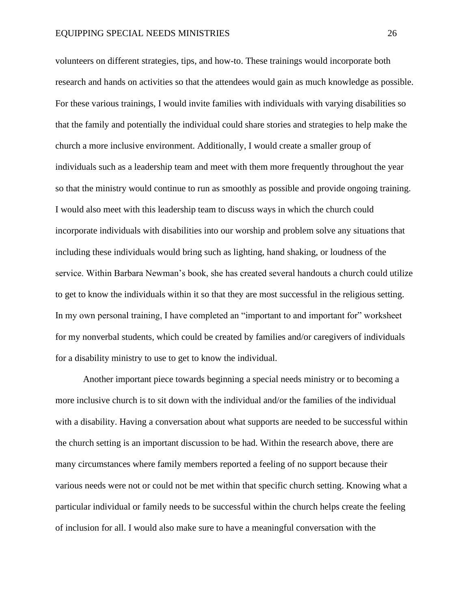volunteers on different strategies, tips, and how-to. These trainings would incorporate both research and hands on activities so that the attendees would gain as much knowledge as possible. For these various trainings, I would invite families with individuals with varying disabilities so that the family and potentially the individual could share stories and strategies to help make the church a more inclusive environment. Additionally, I would create a smaller group of individuals such as a leadership team and meet with them more frequently throughout the year so that the ministry would continue to run as smoothly as possible and provide ongoing training. I would also meet with this leadership team to discuss ways in which the church could incorporate individuals with disabilities into our worship and problem solve any situations that including these individuals would bring such as lighting, hand shaking, or loudness of the service. Within Barbara Newman's book, she has created several handouts a church could utilize to get to know the individuals within it so that they are most successful in the religious setting. In my own personal training, I have completed an "important to and important for" worksheet for my nonverbal students, which could be created by families and/or caregivers of individuals for a disability ministry to use to get to know the individual.

Another important piece towards beginning a special needs ministry or to becoming a more inclusive church is to sit down with the individual and/or the families of the individual with a disability. Having a conversation about what supports are needed to be successful within the church setting is an important discussion to be had. Within the research above, there are many circumstances where family members reported a feeling of no support because their various needs were not or could not be met within that specific church setting. Knowing what a particular individual or family needs to be successful within the church helps create the feeling of inclusion for all. I would also make sure to have a meaningful conversation with the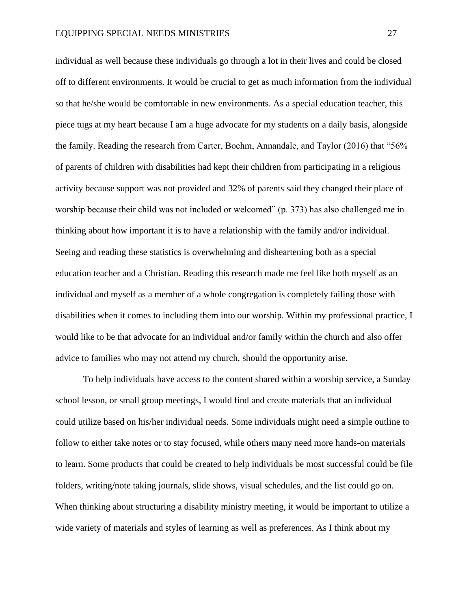individual as well because these individuals go through a lot in their lives and could be closed off to different environments. It would be crucial to get as much information from the individual so that he/she would be comfortable in new environments. As a special education teacher, this piece tugs at my heart because I am a huge advocate for my students on a daily basis, alongside the family. Reading the research from Carter, Boehm, Annandale, and Taylor (2016) that "56% of parents of children with disabilities had kept their children from participating in a religious activity because support was not provided and 32% of parents said they changed their place of worship because their child was not included or welcomed" (p. 373) has also challenged me in thinking about how important it is to have a relationship with the family and/or individual. Seeing and reading these statistics is overwhelming and disheartening both as a special education teacher and a Christian. Reading this research made me feel like both myself as an individual and myself as a member of a whole congregation is completely failing those with disabilities when it comes to including them into our worship. Within my professional practice, I would like to be that advocate for an individual and/or family within the church and also offer advice to families who may not attend my church, should the opportunity arise.

To help individuals have access to the content shared within a worship service, a Sunday school lesson, or small group meetings, I would find and create materials that an individual could utilize based on his/her individual needs. Some individuals might need a simple outline to follow to either take notes or to stay focused, while others many need more hands-on materials to learn. Some products that could be created to help individuals be most successful could be file folders, writing/note taking journals, slide shows, visual schedules, and the list could go on. When thinking about structuring a disability ministry meeting, it would be important to utilize a wide variety of materials and styles of learning as well as preferences. As I think about my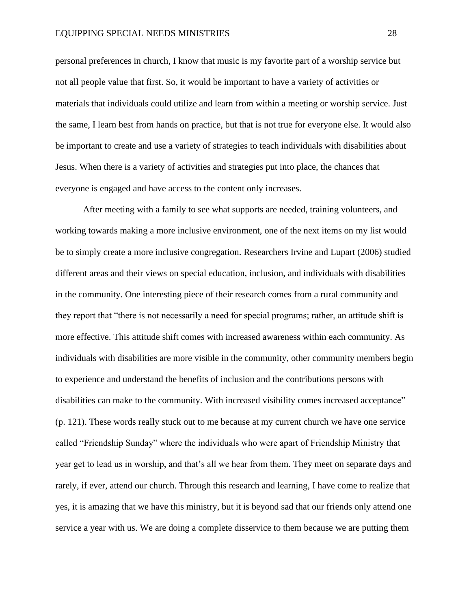personal preferences in church, I know that music is my favorite part of a worship service but not all people value that first. So, it would be important to have a variety of activities or materials that individuals could utilize and learn from within a meeting or worship service. Just the same, I learn best from hands on practice, but that is not true for everyone else. It would also be important to create and use a variety of strategies to teach individuals with disabilities about Jesus. When there is a variety of activities and strategies put into place, the chances that everyone is engaged and have access to the content only increases.

After meeting with a family to see what supports are needed, training volunteers, and working towards making a more inclusive environment, one of the next items on my list would be to simply create a more inclusive congregation. Researchers Irvine and Lupart (2006) studied different areas and their views on special education, inclusion, and individuals with disabilities in the community. One interesting piece of their research comes from a rural community and they report that "there is not necessarily a need for special programs; rather, an attitude shift is more effective. This attitude shift comes with increased awareness within each community. As individuals with disabilities are more visible in the community, other community members begin to experience and understand the benefits of inclusion and the contributions persons with disabilities can make to the community. With increased visibility comes increased acceptance" (p. 121). These words really stuck out to me because at my current church we have one service called "Friendship Sunday" where the individuals who were apart of Friendship Ministry that year get to lead us in worship, and that's all we hear from them. They meet on separate days and rarely, if ever, attend our church. Through this research and learning, I have come to realize that yes, it is amazing that we have this ministry, but it is beyond sad that our friends only attend one service a year with us. We are doing a complete disservice to them because we are putting them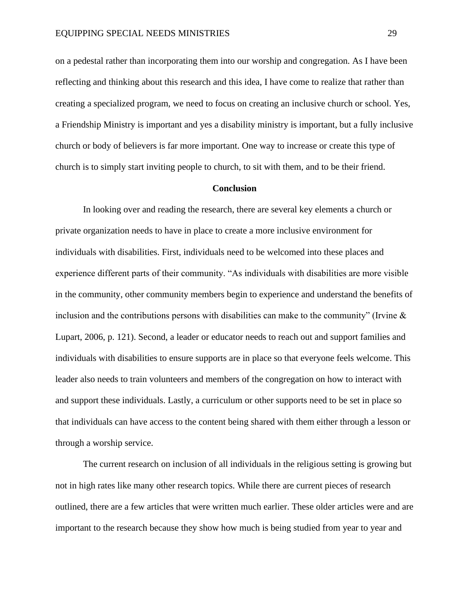on a pedestal rather than incorporating them into our worship and congregation. As I have been reflecting and thinking about this research and this idea, I have come to realize that rather than creating a specialized program, we need to focus on creating an inclusive church or school. Yes, a Friendship Ministry is important and yes a disability ministry is important, but a fully inclusive church or body of believers is far more important. One way to increase or create this type of church is to simply start inviting people to church, to sit with them, and to be their friend.

#### **Conclusion**

<span id="page-29-0"></span>In looking over and reading the research, there are several key elements a church or private organization needs to have in place to create a more inclusive environment for individuals with disabilities. First, individuals need to be welcomed into these places and experience different parts of their community. "As individuals with disabilities are more visible in the community, other community members begin to experience and understand the benefits of inclusion and the contributions persons with disabilities can make to the community" (Irvine  $\&$ Lupart, 2006, p. 121). Second, a leader or educator needs to reach out and support families and individuals with disabilities to ensure supports are in place so that everyone feels welcome. This leader also needs to train volunteers and members of the congregation on how to interact with and support these individuals. Lastly, a curriculum or other supports need to be set in place so that individuals can have access to the content being shared with them either through a lesson or through a worship service.

The current research on inclusion of all individuals in the religious setting is growing but not in high rates like many other research topics. While there are current pieces of research outlined, there are a few articles that were written much earlier. These older articles were and are important to the research because they show how much is being studied from year to year and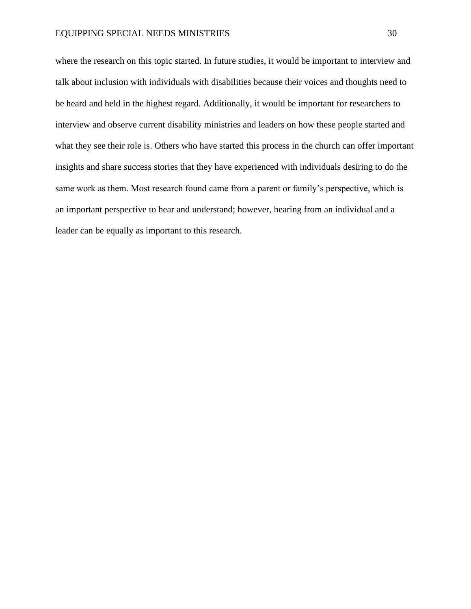where the research on this topic started. In future studies, it would be important to interview and talk about inclusion with individuals with disabilities because their voices and thoughts need to be heard and held in the highest regard. Additionally, it would be important for researchers to interview and observe current disability ministries and leaders on how these people started and what they see their role is. Others who have started this process in the church can offer important insights and share success stories that they have experienced with individuals desiring to do the same work as them. Most research found came from a parent or family's perspective, which is an important perspective to hear and understand; however, hearing from an individual and a leader can be equally as important to this research.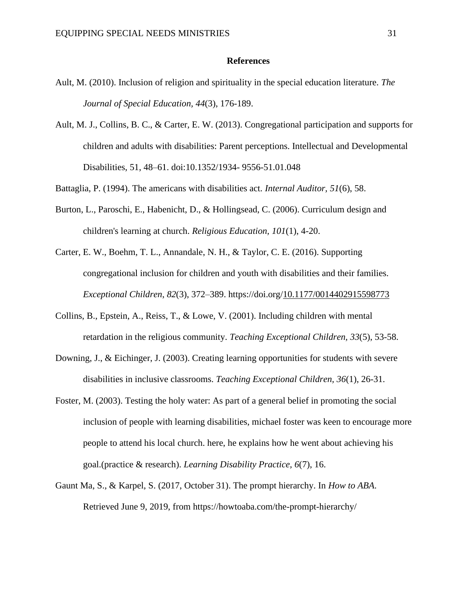#### **References**

- <span id="page-31-0"></span>Ault, M. (2010). Inclusion of religion and spirituality in the special education literature. *The Journal of Special Education, 44*(3), 176-189.
- Ault, M. J., Collins, B. C., & Carter, E. W. (2013). Congregational participation and supports for children and adults with disabilities: Parent perceptions. Intellectual and Developmental Disabilities, 51, 48–61. doi:10.1352/1934- 9556-51.01.048

Battaglia, P. (1994). The americans with disabilities act. *Internal Auditor, 51*(6), 58.

- Burton, L., Paroschi, E., Habenicht, D., & Hollingsead, C. (2006). Curriculum design and children's learning at church. *Religious Education, 101*(1), 4-20.
- Carter, E. W., Boehm, T. L., Annandale, N. H., & Taylor, C. E. (2016). Supporting congregational inclusion for children and youth with disabilities and their families. *Exceptional Children*, *82*(3), 372–389. https://doi.org[/10.1177/0014402915598773](https://doi-org.ezproxy.nwciowa.edu/10.1177/0014402915598773)
- Collins, B., Epstein, A., Reiss, T., & Lowe, V. (2001). Including children with mental retardation in the religious community. *Teaching Exceptional Children, 33*(5), 53-58.
- Downing, J., & Eichinger, J. (2003). Creating learning opportunities for students with severe disabilities in inclusive classrooms. *Teaching Exceptional Children, 36*(1), 26-31.
- Foster, M. (2003). Testing the holy water: As part of a general belief in promoting the social inclusion of people with learning disabilities, michael foster was keen to encourage more people to attend his local church. here, he explains how he went about achieving his goal.(practice & research). *Learning Disability Practice, 6*(7), 16.
- Gaunt Ma, S., & Karpel, S. (2017, October 31). The prompt hierarchy. In *How to ABA*. Retrieved June 9, 2019, from https://howtoaba.com/the-prompt-hierarchy/